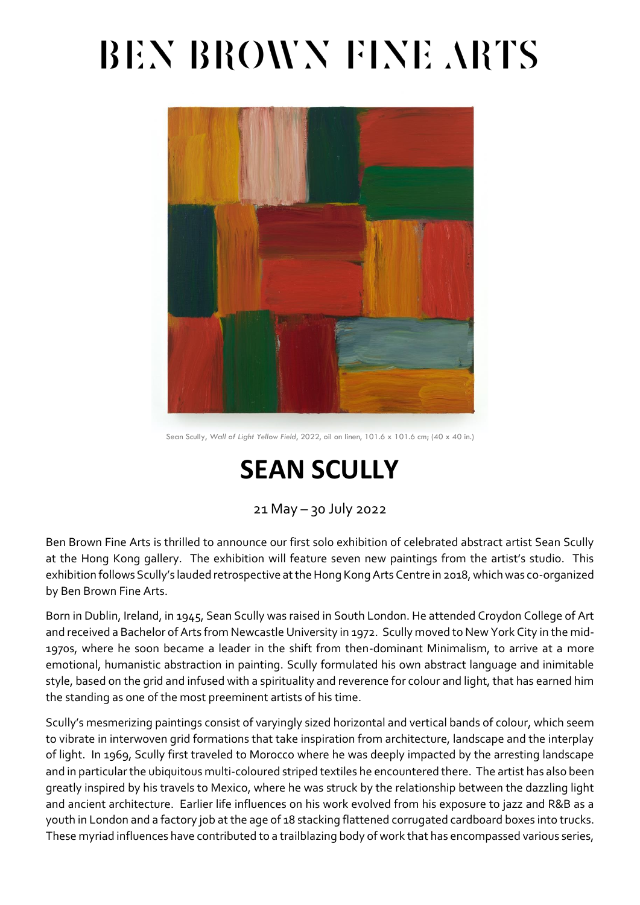## BEN BROWN FINE ARTS



Sean Scully, *Wall of Light Yellow Field*, 2022, oil on linen, 101.6 x 101.6 cm; (40 x 40 in.)

### **SEAN SCULLY**

21 May – 30 July 2022

Ben Brown Fine Arts is thrilled to announce our first solo exhibition of celebrated abstract artist Sean Scully at the Hong Kong gallery. The exhibition will feature seven new paintings from the artist's studio. This exhibition follows Scully's lauded retrospective at the Hong Kong Arts Centre in 2018, which was co-organized by Ben Brown Fine Arts.

Born in Dublin, Ireland, in 1945, Sean Scully was raised in South London. He attended Croydon College of Art and received a Bachelor of Arts from Newcastle University in 1972. Scully moved to New York City in the mid-1970s, where he soon became a leader in the shift from then-dominant Minimalism, to arrive at a more emotional, humanistic abstraction in painting. Scully formulated his own abstract language and inimitable style, based on the grid and infused with a spirituality and reverence for colour and light, that has earned him the standing as one of the most preeminent artists of his time.

Scully's mesmerizing paintings consist of varyingly sized horizontal and vertical bands of colour, which seem to vibrate in interwoven grid formations that take inspiration from architecture, landscape and the interplay of light. In 1969, Scully first traveled to Morocco where he was deeply impacted by the arresting landscape and in particular the ubiquitous multi-coloured striped textiles he encountered there. The artist has also been greatly inspired by his travels to Mexico, where he was struck by the relationship between the dazzling light and ancient architecture. Earlier life influences on his work evolved from his exposure to jazz and R&B as a youth in London and a factory job at the age of 18 stacking flattened corrugated cardboard boxes into trucks. These myriad influences have contributed to a trailblazing body of work that has encompassed various series,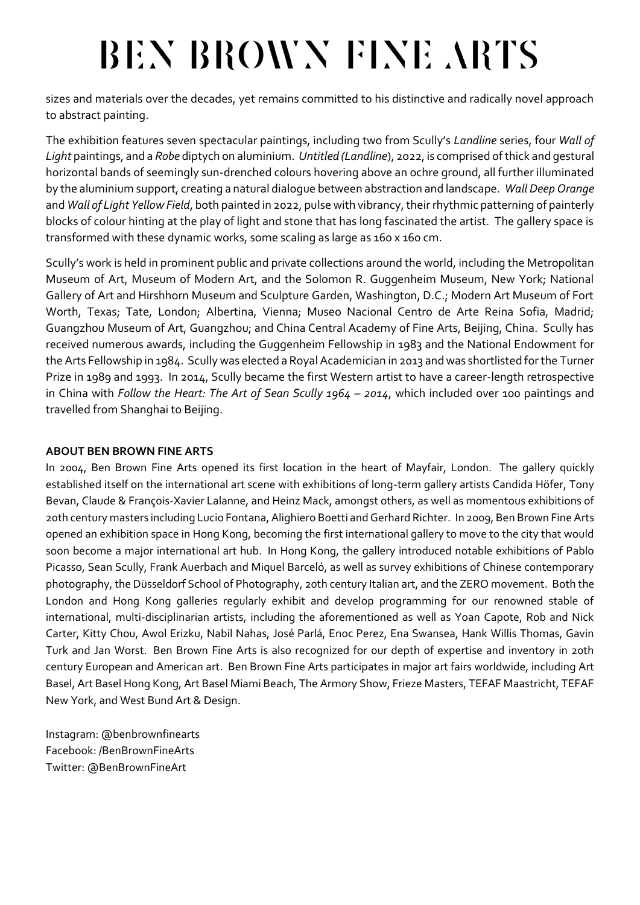# BEN BROWN FINE ARTS

sizes and materials over the decades, yet remains committed to his distinctive and radically novel approach to abstract painting.

The exhibition features seven spectacular paintings, including two from Scully's *Landline* series, four *Wall of Light* paintings, and a *Robe* diptych on aluminium. *Untitled (Landline*), 2022, is comprised of thick and gestural horizontal bands of seemingly sun-drenched colours hovering above an ochre ground, all further illuminated by the aluminium support, creating a natural dialogue between abstraction and landscape. *Wall Deep Orange*  and *Wall of Light Yellow Field*, both painted in 2022, pulse with vibrancy, their rhythmic patterning of painterly blocks of colour hinting at the play of light and stone that has long fascinated the artist. The gallery space is transformed with these dynamic works, some scaling as large as 160 x 160 cm.

Scully's work is held in prominent public and private collections around the world, including the Metropolitan Museum of Art, Museum of Modern Art, and the Solomon R. Guggenheim Museum, New York; National Gallery of Art and Hirshhorn Museum and Sculpture Garden, Washington, D.C.; Modern Art Museum of Fort Worth, Texas; Tate, London; Albertina, Vienna; Museo Nacional Centro de Arte Reina Sofia, Madrid; Guangzhou Museum of Art, Guangzhou; and China Central Academy of Fine Arts, Beijing, China. Scully has received numerous awards, including the Guggenheim Fellowship in 1983 and the National Endowment for the Arts Fellowship in 1984. Scully was elected a Royal Academician in 2013 and was shortlisted for the Turner Prize in 1989 and 1993. In 2014, Scully became the first Western artist to have a career-length retrospective in China with *Follow the Heart: The Art of Sean Scully 1964 – 2014*, which included over 100 paintings and travelled from Shanghai to Beijing.

#### **ABOUT BEN BROWN FINE ARTS**

In 2004, Ben Brown Fine Arts opened its first location in the heart of Mayfair, London. The gallery quickly established itself on the international art scene with exhibitions of long-term gallery artists Candida Höfer, Tony Bevan, Claude & François-Xavier Lalanne, and Heinz Mack, amongst others, as well as momentous exhibitions of 20th century masters including Lucio Fontana, Alighiero Boetti and Gerhard Richter. In 2009, Ben Brown Fine Arts opened an exhibition space in Hong Kong, becoming the first international gallery to move to the city that would soon become a major international art hub. In Hong Kong, the gallery introduced notable exhibitions of Pablo Picasso, Sean Scully, Frank Auerbach and Miquel Barceló, as well as survey exhibitions of Chinese contemporary photography, the Düsseldorf School of Photography, 20th century Italian art, and the ZERO movement. Both the London and Hong Kong galleries regularly exhibit and develop programming for our renowned stable of international, multi-disciplinarian artists, including the aforementioned as well as Yoan Capote, Rob and Nick Carter, Kitty Chou, Awol Erizku, Nabil Nahas, José Parlá, Enoc Perez, Ena Swansea, Hank Willis Thomas, Gavin Turk and Jan Worst. Ben Brown Fine Arts is also recognized for our depth of expertise and inventory in 20th century European and American art. Ben Brown Fine Arts participates in major art fairs worldwide, including Art Basel, Art Basel Hong Kong, Art Basel Miami Beach, The Armory Show, Frieze Masters, TEFAF Maastricht, TEFAF New York, and West Bund Art & Design.

Instagram: @benbrownfinearts Facebook: /BenBrownFineArts Twitter: @BenBrownFineArt